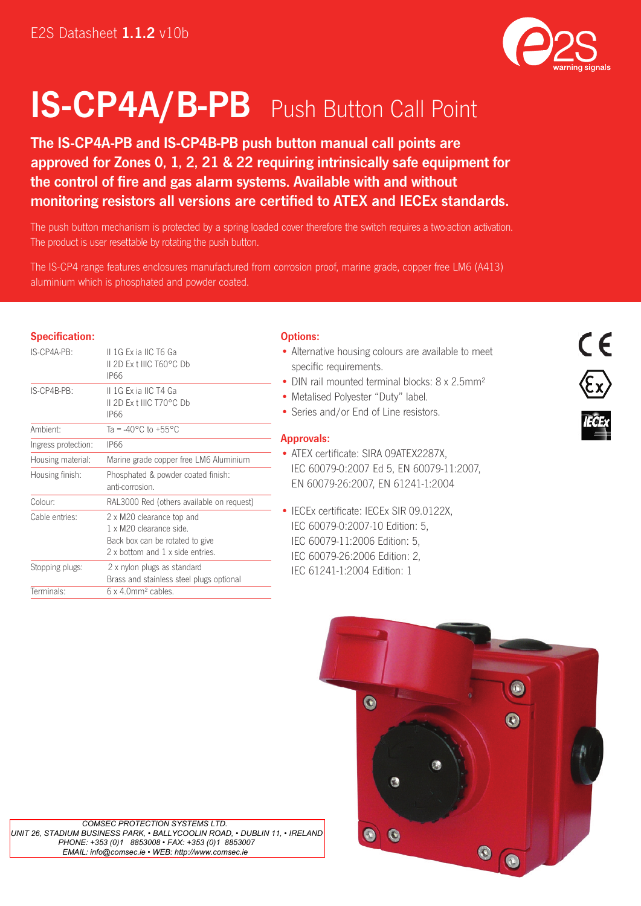

# IS-CP4A/B-PB Push Button Call Point

The IS-CP4A-PB and IS-CP4B-PB push button manual call points are approved for Zones 0, 1, 2, 21 & 22 requiring intrinsically safe equipment for the control of fire and gas alarm systems. Available with and without monitoring resistors all versions are certified to ATEX and IECEx standards.

The push button mechanism is protected by a spring loaded cover therefore the switch requires a two-action activation. The product is user resettable by rotating the push button.

The IS-CP4 range features enclosures manufactured from corrosion proof, marine grade, copper free LM6 (A413) aluminium which is phosphated and powder coated.

# Specification:

| IS-CP4A-PB:         | IL 1G Ex ia IIC T6 Ga<br>IL2D Ex t IIIC T60°C Db<br>IP66                                                                    |
|---------------------|-----------------------------------------------------------------------------------------------------------------------------|
| IS-CP4B-PB:         | II 1G Ex ia IIC T4 Ga<br>IL2D Ex t IIIC T70°C Db<br>IP66                                                                    |
| Ambient:            | Ta = $-40^{\circ}$ C to $+55^{\circ}$ C                                                                                     |
| Ingress protection: | IP66                                                                                                                        |
| Housing material:   | Marine grade copper free LM6 Aluminium                                                                                      |
| Housing finish:     | Phosphated & powder coated finish:<br>anti-corrosion.                                                                       |
| Colour:             | RAL3000 Red (others available on request)                                                                                   |
| Cable entries:      | 2 x M20 clearance top and<br>1 x M20 clearance side.<br>Back box can be rotated to give<br>2 x bottom and 1 x side entries. |
| Stopping plugs:     | 2 x nylon plugs as standard<br>Brass and stainless steel plugs optional                                                     |
| Terminals:          | $6 \times 4.0$ mm <sup>2</sup> cables.                                                                                      |

## Options:

- Alternative housing colours are available to meet specific requirements.
- DIN rail mounted terminal blocks: 8 x 2.5mm<sup>2</sup>
- Metalised Polyester "Duty" label.
- Series and/or End of Line resistors.

## Approvals:

- ATEX certificate: SIRA 09ATEX2287X, IEC 60079-0:2007 Ed 5, EN 60079-11:2007, EN 60079-26:2007, EN 61241-1:2004
- IECEx certificate: IECEx SIR 09.0122X, IEC 60079-0:2007-10 Edition: 5, IEC 60079-11:2006 Edition: 5, IEC 60079-26:2006 Edition: 2, IEC 61241-1:2004 Edition: 1





 *COMSEC PROTECTION SYSTEMS LTD. UNIT 26, STADIUM BUSINESS PARK, • BALLYCOOLIN ROAD, • DUBLIN 11, • IRELAND PHONE: +353 (0)1 8853008 • FAX: +353 (0)1 8853007 EMAIL: info@comsec.ie • WEB: http://www.comsec.ie*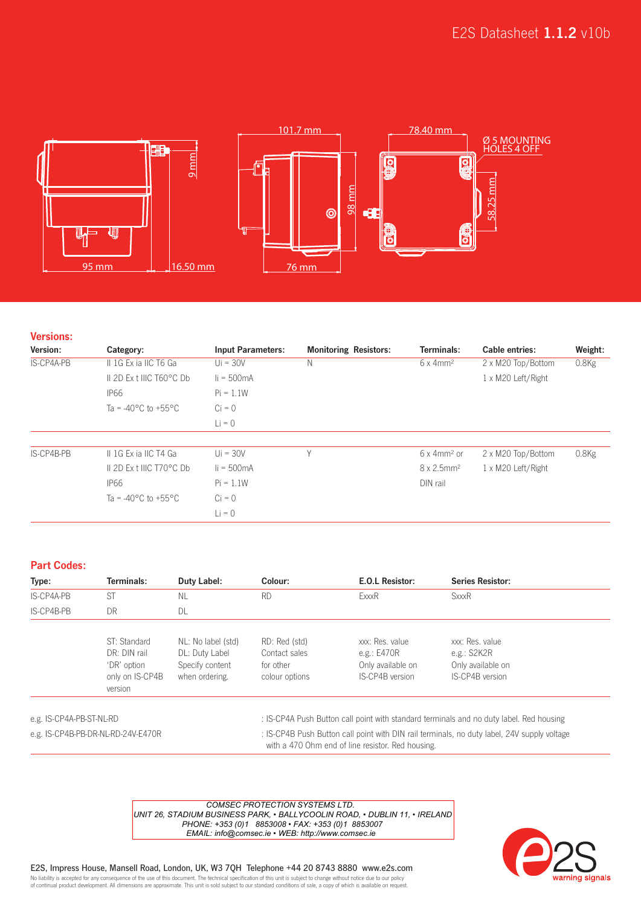

## Versions:

| Version:   | Category:                                 | <b>Input Parameters:</b> | <b>Monitoring Resistors:</b> | Terminals:                      | <b>Cable entries:</b> | Weight:  |
|------------|-------------------------------------------|--------------------------|------------------------------|---------------------------------|-----------------------|----------|
| IS-CP4A-PB | II 1G Ex ia IIC T6 Ga                     | $Ui = 30V$               | Ν                            | $6 \times 4$ mm <sup>2</sup>    | 2 x M20 Top/Bottom    | $0.8$ Kg |
|            | IL2D Ex LIIIC T60°C Db                    | $I = 500mA$              |                              |                                 | 1 x M20 Left/Right    |          |
|            | <b>IP66</b>                               | $Pi = 1.1W$              |                              |                                 |                       |          |
|            | Ta = -40 $^{\circ}$ C to +55 $^{\circ}$ C | $Ci = 0$                 |                              |                                 |                       |          |
|            |                                           | $Li = 0$                 |                              |                                 |                       |          |
|            |                                           |                          |                              |                                 |                       |          |
| IS-CP4B-PB | IL1G Exia IIC T4 Ga                       | $U_i = 30V$              | Υ                            | $6 \times 4$ mm <sup>2</sup> or | 2 x M20 Top/Bottom    | $0.8$ Kg |
|            | IL2D Ex t IIIC T70°C Db                   | $I = 500mA$              |                              | $8 \times 2.5$ mm <sup>2</sup>  | 1 x M20 Left/Right    |          |
|            | <b>IP66</b>                               | $Pi = 1.1W$              |                              | DIN rail                        |                       |          |
|            | Ta = -40 °C to +55 °C                     | $Ci = 0$                 |                              |                                 |                       |          |
|            |                                           | $Li = 0$                 |                              |                                 |                       |          |

## Part Codes:

| Type:      | Terminals:                                                                | Duty Label:                                                               | Colour:                                                       | E.O.L Resistor:                                                          | <b>Series Resistor:</b>                                                  |
|------------|---------------------------------------------------------------------------|---------------------------------------------------------------------------|---------------------------------------------------------------|--------------------------------------------------------------------------|--------------------------------------------------------------------------|
| IS-CP4A-PB | <b>ST</b>                                                                 | <b>NL</b>                                                                 | <b>RD</b>                                                     | ExxxR                                                                    | <b>SxxxR</b>                                                             |
| IS-CP4B-PB | DR                                                                        | DL                                                                        |                                                               |                                                                          |                                                                          |
|            | ST: Standard<br>DR: DIN rail<br>'DR' option<br>only on IS-CP4B<br>version | NL: No label (std)<br>DL: Duty Label<br>Specify content<br>when ordering. | RD: Red (std)<br>Contact sales<br>for other<br>colour options | xxx: Res. value<br>e.g.: $E470R$<br>Only available on<br>IS-CP4B version | xxx: Res. value<br>e.g.: $S2K2R$<br>Only available on<br>IS-CP4B version |

e.g. IS-CP4A-PB-ST-NL-RD : IS-CP4A Push Button call point with standard terminals and no duty label. Red housing e.g. IS-CP4B-PB-DR-NL-RD-24V-E470R : IS-CP4B Push Button call point with DIN rail terminals, no duty label, 24V supply voltage

with a 470 Ohm end of line resistor. Red housing.

 *COMSEC PROTECTION SYSTEMS LTD. UNIT 26, STADIUM BUSINESS PARK, • BALLYCOOLIN ROAD, • DUBLIN 11, • IRELAND PHONE: +353 (0)1 8853008 • FAX: +353 (0)1 8853007 EMAIL: info@comsec.ie • WEB: http://www.comsec.ie*



E2S, Impress House, Mansell Road, London, UK, W3 7QH Telephone +44 20 8743 8880 www.e2s.com

.<br>No liability is accepted for any consequence of the use of this document. The technical specification of this unit is subject to change without notice due to our policy<br>of continual product development. All dimensions ar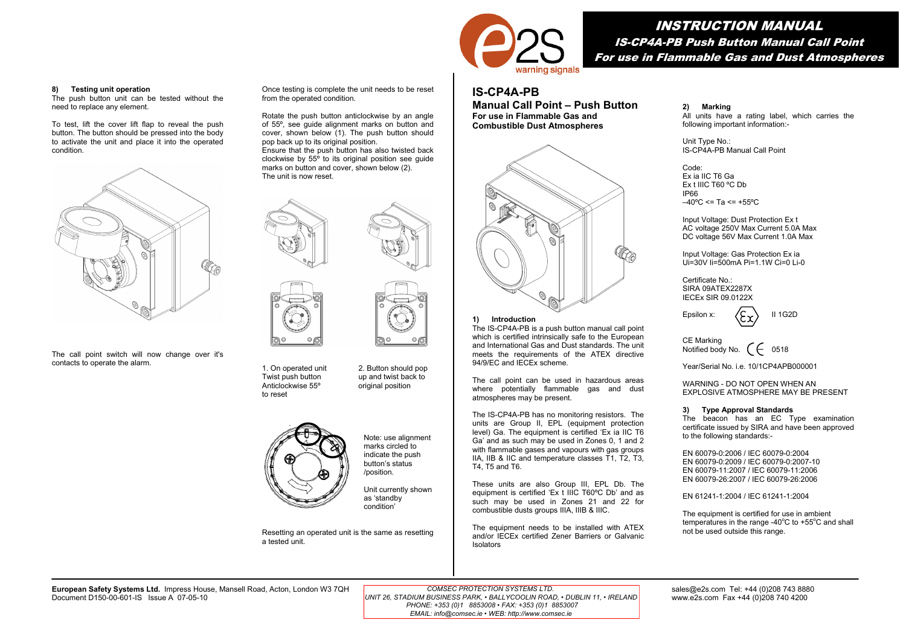

# INSTRUCTION MANUAL IS-CP4A-PB Push Button Manual Call Point For use in Flammable Gas and Dust Atmospheres

# **IS-CP4A-PB**

**Manual Call Point – Push Button For use in Flammable Gas and Combustible Dust Atmospheres** 



### **1) Introduction**

The IS-CP4A-PB is a push button manual call point which is certified intrinsically safe to the European and International Gas and Dust standards. The unit meets the requirements of the ATEX directive 94/9/EC and IECEx scheme.

The call point can be used in hazardous areas where potentially flammable gas and dust atmospheres may be present.

The IS-CP4A-PB has no monitoring resistors. The units are Group II, EPL (equipment protection level) Ga. The equipment is certified 'Ex ia IIC T6 Ga' and as such may be used in Zones 0, 1 and 2 with flammable gases and vapours with gas groups IIA, IIB & IIC and temperature classes T1, T2, T3, T4, T5 and T6.

These units are also Group III, EPL Db. The equipment is certified 'Ex t IIIC T60ºC Db' and as such may be used in Zones 21 and 22 for combustible dusts groups IIIA, IIIB & IIIC.

The equipment needs to be installed with ATEX and/or IECEx certified Zener Barriers or Galvanic Isolators

**2) Marking** 

All units have a rating label, which carries the following important information:-

Unit Type No.: IS-CP4A-PB Manual Call Point

Code: Ex ia IIC T6 Ga Ex t IIIC T60 ºC Db IP66  $-40^{\circ}$ C <= Ta <= +55°C

Input Voltage: Dust Protection Ex t AC voltage 250V Max Current 5.0A Max DC voltage 56V Max Current 1.0A Max

Input Voltage: Gas Protection Ex ia Ui=30V Ii=500mA Pi=1.1W Ci=0 Li-0

Certificate No.: SIRA 09ATEX2287X IECEx SIR 09.0122X

Epsilon x:  $\langle \mathsf{C}_{\infty} \rangle$  II 1G2D

CE Marking Notified body No.  $\left( \begin{array}{ccc} \leftarrow & 0518 \end{array} \right)$ 

Year/Serial No. i.e. 10/1CP4APB000001

WARNING - DO NOT OPEN WHEN AN **EXPLOSIVE ATMOSPHERE MAY BE PRESENT** 

## **3) Type Approval Standards**

The beacon has an EC Type examination certificate issued by SIRA and have been approved to the following standards:-

EN 60079-0:2006 / IEC 60079-0:2004 EN 60079-0:2009 / IEC 60079-0:2007-10 EN 60079-11:2007 / IEC 60079-11:2006 EN 60079-26:2007 / IEC 60079-26:2006

EN 61241-1:2004 / IEC 61241-1:2004

The equipment is certified for use in ambient temperatures in the range -40 $^{\circ}$ C to +55 $^{\circ}$ C and shall not be used outside this range.



The push button unit can be tested without the need to replace any element.

To test, lift the cover lift flap to reveal the push button. The button should be pressed into the body to activate the unit and place it into the operated condition.



The call point switch will now change over it's contacts to operate the alarm.



Once testing is complete the unit needs to be reset

Rotate the push button anticlockwise by an angle of 55º, see guide alignment marks on button and cover, shown below (1). The push button should

Ensure that the push button has also twisted back clockwise by  $55^\circ$  to its original position see guide marks on button and cover, shown below (2).

from the operated condition.

The unit is now reset.

pop back up to its original position.

1. On operated unit 2. Button should pop<br>Twist push button up and twist back to Twist push button  $\mu$  and twist back to<br>Anticlockwise 55 $\degree$  original position to reset



Note: use alignment marks circled to indicate the push button's status /position.

original position

 $\circ$  6

Unit currently shown as 'standby condition'

Resetting an operated unit is the same as resetting a tested unit.

European Safety Systems Ltd. Impress House, Mansell Road, Acton, London W3 7QH COMSEC PROTECTION SYSTEMS LTD. Same and sales@e2s.com Tel: +44 (0)208 743 8880<br>Document D150-00-601-IS Issue A 07-05-10 composited and acton, L Document D150-00-601-IS Issue A 07-05-10 Sheet 1 of 2 www.e2s.com Fax +44 (0)208 740 4200 *UNIT 26, STADIUM BUSINESS PARK, • BALLYCOOLIN ROAD, • DUBLIN 11, • IRELAND*

 *COMSEC PROTECTION SYSTEMS LTD. PHONE: +353 (0)1 8853008 • FAX: +353 (0)1 8853007 EMAIL: info@comsec.ie • WEB: http://www.comsec.ie*